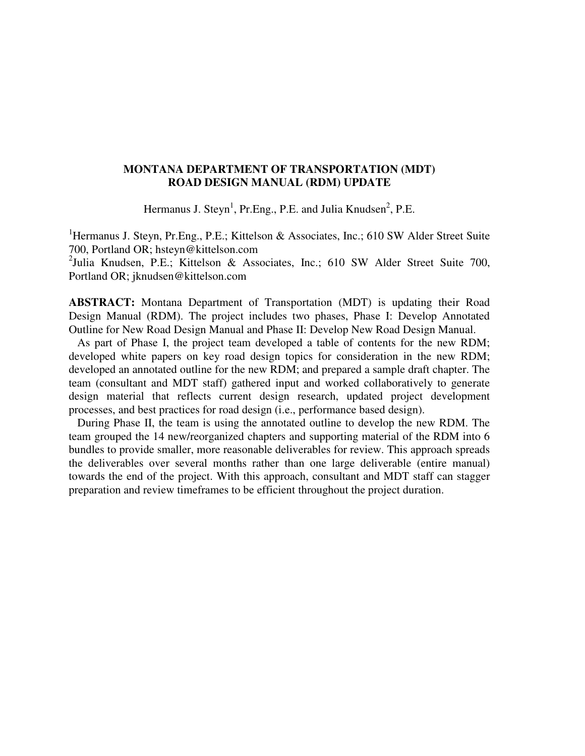# **MONTANA DEPARTMENT OF TRANSPORTATION (MDT) ROAD DESIGN MANUAL (RDM) UPDATE**

Hermanus J. Steyn<sup>1</sup>, Pr.Eng., P.E. and Julia Knudsen<sup>2</sup>, P.E.

<sup>1</sup>Hermanus J. Steyn, Pr.Eng., P.E.; Kittelson & Associates, Inc.; 610 SW Alder Street Suite 700, Portland OR; hsteyn@kittelson.com

<sup>2</sup>Julia Knudsen, P.E.; Kittelson & Associates, Inc.; 610 SW Alder Street Suite 700, Portland OR; jknudsen@kittelson.com

**ABSTRACT:** Montana Department of Transportation (MDT) is updating their Road Design Manual (RDM). The project includes two phases, Phase I: Develop Annotated Outline for New Road Design Manual and Phase II: Develop New Road Design Manual.

 As part of Phase I, the project team developed a table of contents for the new RDM; developed white papers on key road design topics for consideration in the new RDM; developed an annotated outline for the new RDM; and prepared a sample draft chapter. The team (consultant and MDT staff) gathered input and worked collaboratively to generate design material that reflects current design research, updated project development processes, and best practices for road design (i.e., performance based design).

 During Phase II, the team is using the annotated outline to develop the new RDM. The team grouped the 14 new/reorganized chapters and supporting material of the RDM into 6 bundles to provide smaller, more reasonable deliverables for review. This approach spreads the deliverables over several months rather than one large deliverable (entire manual) towards the end of the project. With this approach, consultant and MDT staff can stagger preparation and review timeframes to be efficient throughout the project duration.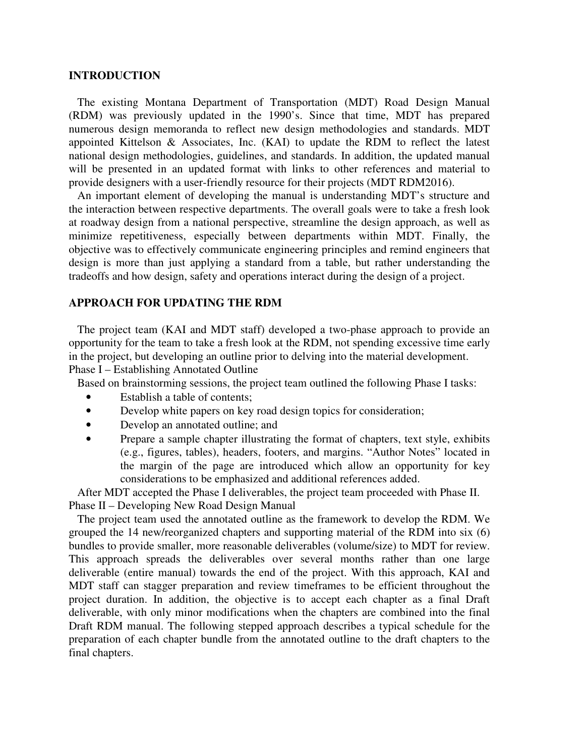# **INTRODUCTION**

 The existing Montana Department of Transportation (MDT) Road Design Manual (RDM) was previously updated in the 1990's. Since that time, MDT has prepared numerous design memoranda to reflect new design methodologies and standards. MDT appointed Kittelson & Associates, Inc. (KAI) to update the RDM to reflect the latest national design methodologies, guidelines, and standards. In addition, the updated manual will be presented in an updated format with links to other references and material to provide designers with a user-friendly resource for their projects (MDT RDM2016).

 An important element of developing the manual is understanding MDT's structure and the interaction between respective departments. The overall goals were to take a fresh look at roadway design from a national perspective, streamline the design approach, as well as minimize repetitiveness, especially between departments within MDT. Finally, the objective was to effectively communicate engineering principles and remind engineers that design is more than just applying a standard from a table, but rather understanding the tradeoffs and how design, safety and operations interact during the design of a project.

# **APPROACH FOR UPDATING THE RDM**

 The project team (KAI and MDT staff) developed a two-phase approach to provide an opportunity for the team to take a fresh look at the RDM, not spending excessive time early in the project, but developing an outline prior to delving into the material development. Phase I – Establishing Annotated Outline

Based on brainstorming sessions, the project team outlined the following Phase I tasks:

- Establish a table of contents;
- Develop white papers on key road design topics for consideration;
- Develop an annotated outline; and
- Prepare a sample chapter illustrating the format of chapters, text style, exhibits (e.g., figures, tables), headers, footers, and margins. "Author Notes" located in the margin of the page are introduced which allow an opportunity for key considerations to be emphasized and additional references added.

 After MDT accepted the Phase I deliverables, the project team proceeded with Phase II. Phase II – Developing New Road Design Manual

 The project team used the annotated outline as the framework to develop the RDM. We grouped the 14 new/reorganized chapters and supporting material of the RDM into six (6) bundles to provide smaller, more reasonable deliverables (volume/size) to MDT for review. This approach spreads the deliverables over several months rather than one large deliverable (entire manual) towards the end of the project. With this approach, KAI and MDT staff can stagger preparation and review timeframes to be efficient throughout the project duration. In addition, the objective is to accept each chapter as a final Draft deliverable, with only minor modifications when the chapters are combined into the final Draft RDM manual. The following stepped approach describes a typical schedule for the preparation of each chapter bundle from the annotated outline to the draft chapters to the final chapters.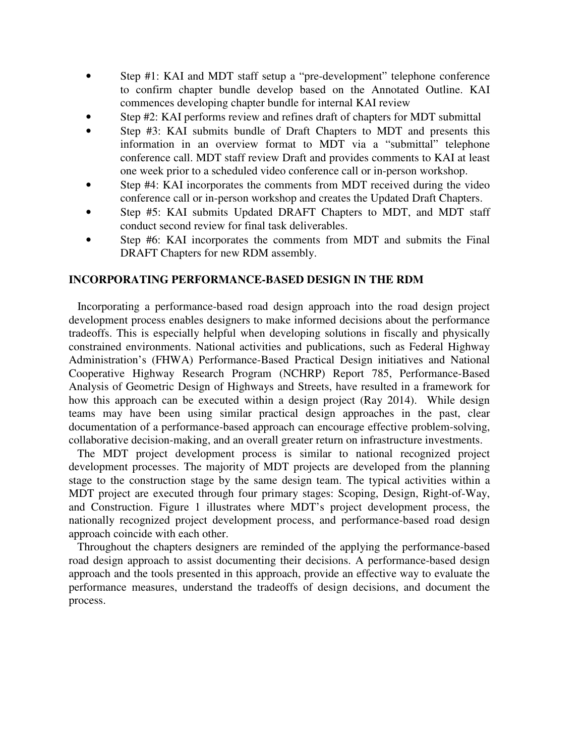- Step #1: KAI and MDT staff setup a "pre-development" telephone conference to confirm chapter bundle develop based on the Annotated Outline. KAI commences developing chapter bundle for internal KAI review
- Step #2: KAI performs review and refines draft of chapters for MDT submittal
- Step #3: KAI submits bundle of Draft Chapters to MDT and presents this information in an overview format to MDT via a "submittal" telephone conference call. MDT staff review Draft and provides comments to KAI at least one week prior to a scheduled video conference call or in-person workshop.
- Step #4: KAI incorporates the comments from MDT received during the video conference call or in-person workshop and creates the Updated Draft Chapters.
- Step #5: KAI submits Updated DRAFT Chapters to MDT, and MDT staff conduct second review for final task deliverables.
- Step #6: KAI incorporates the comments from MDT and submits the Final DRAFT Chapters for new RDM assembly.

# **INCORPORATING PERFORMANCE-BASED DESIGN IN THE RDM**

 Incorporating a performance-based road design approach into the road design project development process enables designers to make informed decisions about the performance tradeoffs. This is especially helpful when developing solutions in fiscally and physically constrained environments. National activities and publications, such as Federal Highway Administration's (FHWA) Performance-Based Practical Design initiatives and National Cooperative Highway Research Program (NCHRP) Report 785, Performance-Based Analysis of Geometric Design of Highways and Streets, have resulted in a framework for how this approach can be executed within a design project (Ray 2014). While design teams may have been using similar practical design approaches in the past, clear documentation of a performance-based approach can encourage effective problem-solving, collaborative decision-making, and an overall greater return on infrastructure investments.

 The MDT project development process is similar to national recognized project development processes. The majority of MDT projects are developed from the planning stage to the construction stage by the same design team. The typical activities within a MDT project are executed through four primary stages: Scoping, Design, Right-of-Way, and Construction. Figure 1 illustrates where MDT's project development process, the nationally recognized project development process, and performance-based road design approach coincide with each other.

 Throughout the chapters designers are reminded of the applying the performance-based road design approach to assist documenting their decisions. A performance-based design approach and the tools presented in this approach, provide an effective way to evaluate the performance measures, understand the tradeoffs of design decisions, and document the process.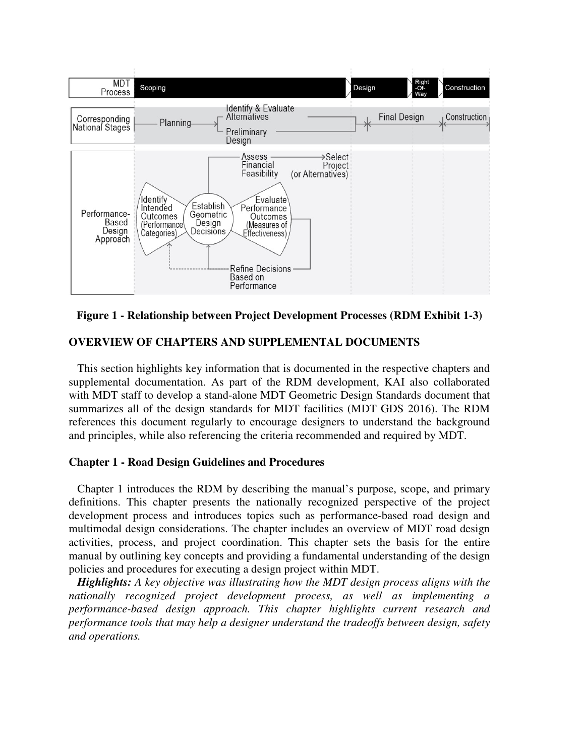

**Figure 1 - Relationship between Project Development Processes (RDM Exhibit 1-3)** 

# **OVERVIEW OF CHAPTERS AND SUPPLEMENTAL DOCUMENTS**

 This section highlights key information that is documented in the respective chapters and supplemental documentation. As part of the RDM development, KAI also collaborated with MDT staff to develop a stand-alone MDT Geometric Design Standards document that summarizes all of the design standards for MDT facilities (MDT GDS 2016). The RDM references this document regularly to encourage designers to understand the background and principles, while also referencing the criteria recommended and required by MDT.

# **Chapter 1 - Road Design Guidelines and Procedures**

 Chapter 1 introduces the RDM by describing the manual's purpose, scope, and primary definitions. This chapter presents the nationally recognized perspective of the project development process and introduces topics such as performance-based road design and multimodal design considerations. The chapter includes an overview of MDT road design activities, process, and project coordination. This chapter sets the basis for the entire manual by outlining key concepts and providing a fundamental understanding of the design policies and procedures for executing a design project within MDT.

 *Highlights: A key objective was illustrating how the MDT design process aligns with the nationally recognized project development process, as well as implementing a performance-based design approach. This chapter highlights current research and performance tools that may help a designer understand the tradeoffs between design, safety and operations.*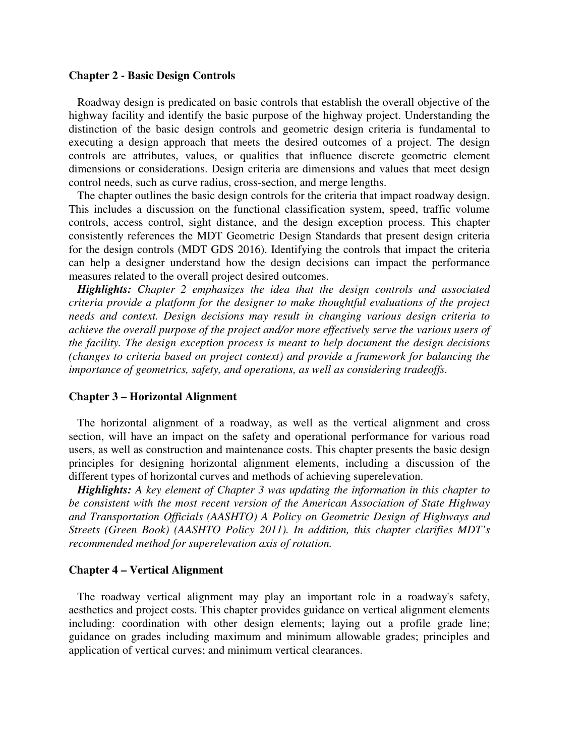### **Chapter 2 - Basic Design Controls**

 Roadway design is predicated on basic controls that establish the overall objective of the highway facility and identify the basic purpose of the highway project. Understanding the distinction of the basic design controls and geometric design criteria is fundamental to executing a design approach that meets the desired outcomes of a project. The design controls are attributes, values, or qualities that influence discrete geometric element dimensions or considerations. Design criteria are dimensions and values that meet design control needs, such as curve radius, cross-section, and merge lengths.

 The chapter outlines the basic design controls for the criteria that impact roadway design. This includes a discussion on the functional classification system, speed, traffic volume controls, access control, sight distance, and the design exception process. This chapter consistently references the MDT Geometric Design Standards that present design criteria for the design controls (MDT GDS 2016). Identifying the controls that impact the criteria can help a designer understand how the design decisions can impact the performance measures related to the overall project desired outcomes.

 *Highlights: Chapter 2 emphasizes the idea that the design controls and associated criteria provide a platform for the designer to make thoughtful evaluations of the project needs and context. Design decisions may result in changing various design criteria to achieve the overall purpose of the project and/or more effectively serve the various users of the facility. The design exception process is meant to help document the design decisions (changes to criteria based on project context) and provide a framework for balancing the importance of geometrics, safety, and operations, as well as considering tradeoffs.* 

## **Chapter 3 – Horizontal Alignment**

 The horizontal alignment of a roadway, as well as the vertical alignment and cross section, will have an impact on the safety and operational performance for various road users, as well as construction and maintenance costs. This chapter presents the basic design principles for designing horizontal alignment elements, including a discussion of the different types of horizontal curves and methods of achieving superelevation.

 *Highlights: A key element of Chapter 3 was updating the information in this chapter to be consistent with the most recent version of the American Association of State Highway and Transportation Officials (AASHTO) A Policy on Geometric Design of Highways and Streets (Green Book) (AASHTO Policy 2011). In addition, this chapter clarifies MDT's recommended method for superelevation axis of rotation.* 

#### **Chapter 4 – Vertical Alignment**

 The roadway vertical alignment may play an important role in a roadway's safety, aesthetics and project costs. This chapter provides guidance on vertical alignment elements including: coordination with other design elements; laying out a profile grade line; guidance on grades including maximum and minimum allowable grades; principles and application of vertical curves; and minimum vertical clearances.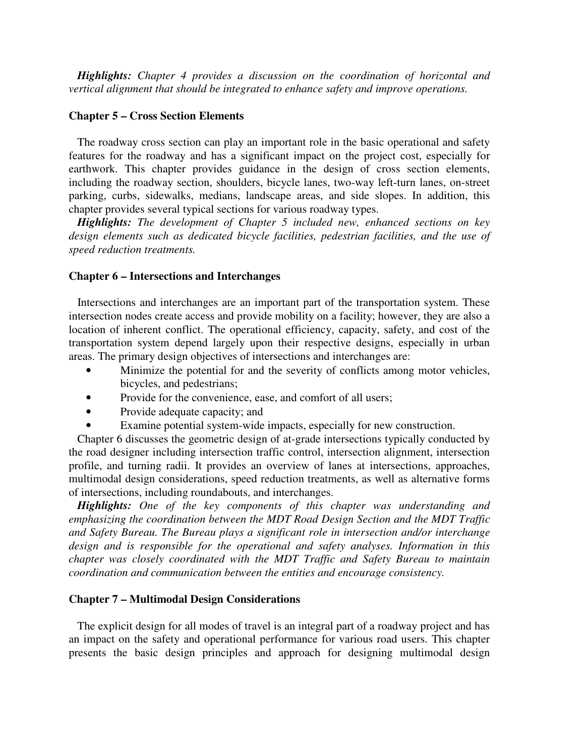*Highlights: Chapter 4 provides a discussion on the coordination of horizontal and vertical alignment that should be integrated to enhance safety and improve operations.* 

# **Chapter 5 – Cross Section Elements**

 The roadway cross section can play an important role in the basic operational and safety features for the roadway and has a significant impact on the project cost, especially for earthwork. This chapter provides guidance in the design of cross section elements, including the roadway section, shoulders, bicycle lanes, two-way left-turn lanes, on-street parking, curbs, sidewalks, medians, landscape areas, and side slopes. In addition, this chapter provides several typical sections for various roadway types.

 *Highlights: The development of Chapter 5 included new, enhanced sections on key design elements such as dedicated bicycle facilities, pedestrian facilities, and the use of speed reduction treatments.* 

#### **Chapter 6 – Intersections and Interchanges**

 Intersections and interchanges are an important part of the transportation system. These intersection nodes create access and provide mobility on a facility; however, they are also a location of inherent conflict. The operational efficiency, capacity, safety, and cost of the transportation system depend largely upon their respective designs, especially in urban areas. The primary design objectives of intersections and interchanges are:

- Minimize the potential for and the severity of conflicts among motor vehicles, bicycles, and pedestrians;
- Provide for the convenience, ease, and comfort of all users;
- Provide adequate capacity; and
- Examine potential system-wide impacts, especially for new construction.

 Chapter 6 discusses the geometric design of at-grade intersections typically conducted by the road designer including intersection traffic control, intersection alignment, intersection profile, and turning radii. It provides an overview of lanes at intersections, approaches, multimodal design considerations, speed reduction treatments, as well as alternative forms of intersections, including roundabouts, and interchanges.

 *Highlights: One of the key components of this chapter was understanding and emphasizing the coordination between the MDT Road Design Section and the MDT Traffic and Safety Bureau. The Bureau plays a significant role in intersection and/or interchange design and is responsible for the operational and safety analyses. Information in this chapter was closely coordinated with the MDT Traffic and Safety Bureau to maintain coordination and communication between the entities and encourage consistency.* 

### **Chapter 7 – Multimodal Design Considerations**

 The explicit design for all modes of travel is an integral part of a roadway project and has an impact on the safety and operational performance for various road users. This chapter presents the basic design principles and approach for designing multimodal design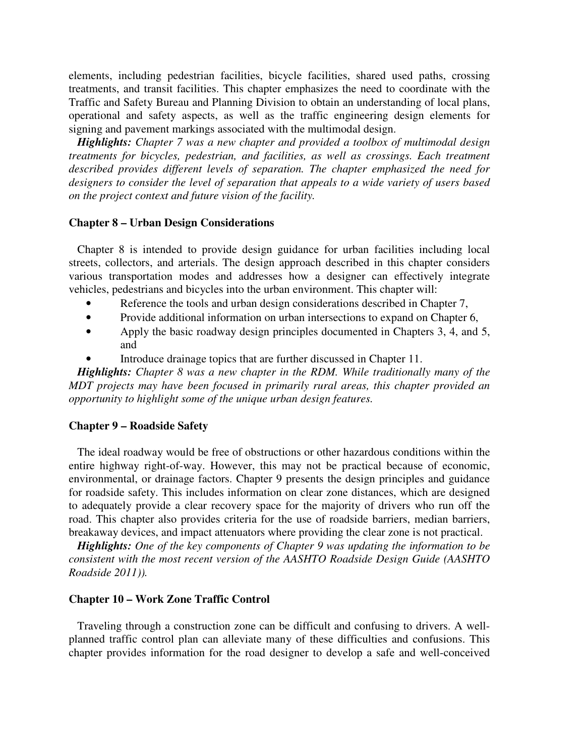elements, including pedestrian facilities, bicycle facilities, shared used paths, crossing treatments, and transit facilities. This chapter emphasizes the need to coordinate with the Traffic and Safety Bureau and Planning Division to obtain an understanding of local plans, operational and safety aspects, as well as the traffic engineering design elements for signing and pavement markings associated with the multimodal design.

 *Highlights: Chapter 7 was a new chapter and provided a toolbox of multimodal design treatments for bicycles, pedestrian, and facilities, as well as crossings. Each treatment described provides different levels of separation. The chapter emphasized the need for designers to consider the level of separation that appeals to a wide variety of users based on the project context and future vision of the facility.* 

# **Chapter 8 – Urban Design Considerations**

 Chapter 8 is intended to provide design guidance for urban facilities including local streets, collectors, and arterials. The design approach described in this chapter considers various transportation modes and addresses how a designer can effectively integrate vehicles, pedestrians and bicycles into the urban environment. This chapter will:

- Reference the tools and urban design considerations described in Chapter 7,
- Provide additional information on urban intersections to expand on Chapter 6,
- Apply the basic roadway design principles documented in Chapters 3, 4, and 5, and
- Introduce drainage topics that are further discussed in Chapter 11.

 *Highlights: Chapter 8 was a new chapter in the RDM. While traditionally many of the MDT projects may have been focused in primarily rural areas, this chapter provided an opportunity to highlight some of the unique urban design features.* 

### **Chapter 9 – Roadside Safety**

 The ideal roadway would be free of obstructions or other hazardous conditions within the entire highway right-of-way. However, this may not be practical because of economic, environmental, or drainage factors. Chapter 9 presents the design principles and guidance for roadside safety. This includes information on clear zone distances, which are designed to adequately provide a clear recovery space for the majority of drivers who run off the road. This chapter also provides criteria for the use of roadside barriers, median barriers, breakaway devices, and impact attenuators where providing the clear zone is not practical.

 *Highlights: One of the key components of Chapter 9 was updating the information to be consistent with the most recent version of the AASHTO Roadside Design Guide (AASHTO Roadside 2011)).* 

## **Chapter 10 – Work Zone Traffic Control**

 Traveling through a construction zone can be difficult and confusing to drivers. A wellplanned traffic control plan can alleviate many of these difficulties and confusions. This chapter provides information for the road designer to develop a safe and well-conceived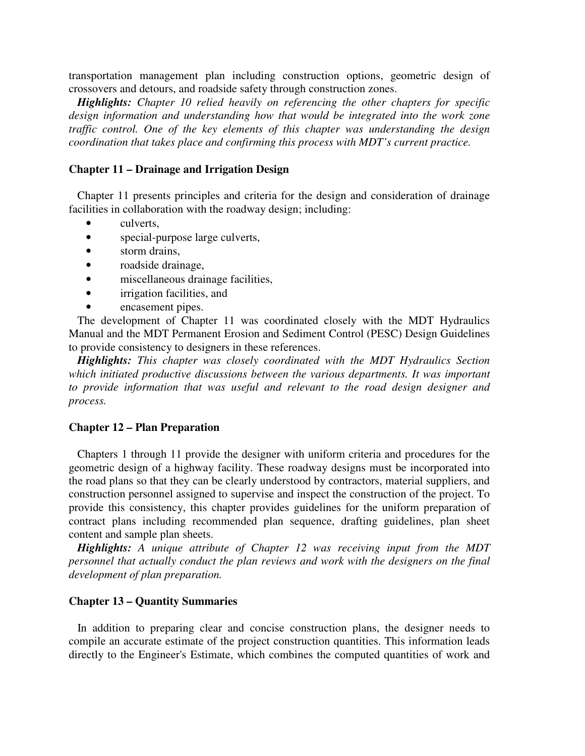transportation management plan including construction options, geometric design of crossovers and detours, and roadside safety through construction zones.

 *Highlights: Chapter 10 relied heavily on referencing the other chapters for specific design information and understanding how that would be integrated into the work zone traffic control. One of the key elements of this chapter was understanding the design coordination that takes place and confirming this process with MDT's current practice.* 

# **Chapter 11 – Drainage and Irrigation Design**

 Chapter 11 presents principles and criteria for the design and consideration of drainage facilities in collaboration with the roadway design; including:

- culverts,
- special-purpose large culverts,
- storm drains,
- roadside drainage,
- miscellaneous drainage facilities,
- irrigation facilities, and
- encasement pipes.

 The development of Chapter 11 was coordinated closely with the MDT Hydraulics Manual and the MDT Permanent Erosion and Sediment Control (PESC) Design Guidelines to provide consistency to designers in these references.

 *Highlights: This chapter was closely coordinated with the MDT Hydraulics Section which initiated productive discussions between the various departments. It was important to provide information that was useful and relevant to the road design designer and process.* 

#### **Chapter 12 – Plan Preparation**

 Chapters 1 through 11 provide the designer with uniform criteria and procedures for the geometric design of a highway facility. These roadway designs must be incorporated into the road plans so that they can be clearly understood by contractors, material suppliers, and construction personnel assigned to supervise and inspect the construction of the project. To provide this consistency, this chapter provides guidelines for the uniform preparation of contract plans including recommended plan sequence, drafting guidelines, plan sheet content and sample plan sheets.

 *Highlights: A unique attribute of Chapter 12 was receiving input from the MDT personnel that actually conduct the plan reviews and work with the designers on the final development of plan preparation.* 

# **Chapter 13 – Quantity Summaries**

 In addition to preparing clear and concise construction plans, the designer needs to compile an accurate estimate of the project construction quantities. This information leads directly to the Engineer's Estimate, which combines the computed quantities of work and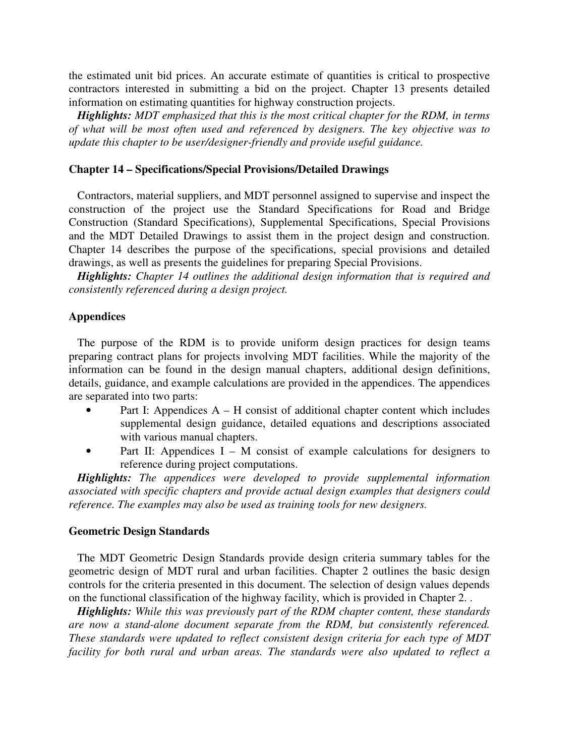the estimated unit bid prices. An accurate estimate of quantities is critical to prospective contractors interested in submitting a bid on the project. Chapter 13 presents detailed information on estimating quantities for highway construction projects.

 *Highlights: MDT emphasized that this is the most critical chapter for the RDM, in terms of what will be most often used and referenced by designers. The key objective was to update this chapter to be user/designer-friendly and provide useful guidance.* 

# **Chapter 14 – Specifications/Special Provisions/Detailed Drawings**

 Contractors, material suppliers, and MDT personnel assigned to supervise and inspect the construction of the project use the Standard Specifications for Road and Bridge Construction (Standard Specifications), Supplemental Specifications, Special Provisions and the MDT Detailed Drawings to assist them in the project design and construction. Chapter 14 describes the purpose of the specifications, special provisions and detailed drawings, as well as presents the guidelines for preparing Special Provisions.

 *Highlights: Chapter 14 outlines the additional design information that is required and consistently referenced during a design project.* 

# **Appendices**

 The purpose of the RDM is to provide uniform design practices for design teams preparing contract plans for projects involving MDT facilities. While the majority of the information can be found in the design manual chapters, additional design definitions, details, guidance, and example calculations are provided in the appendices. The appendices are separated into two parts:

- Part I: Appendices  $A H$  consist of additional chapter content which includes supplemental design guidance, detailed equations and descriptions associated with various manual chapters.
- Part II: Appendices I M consist of example calculations for designers to reference during project computations.

 *Highlights: The appendices were developed to provide supplemental information associated with specific chapters and provide actual design examples that designers could reference. The examples may also be used as training tools for new designers.* 

### **Geometric Design Standards**

 The MDT Geometric Design Standards provide design criteria summary tables for the geometric design of MDT rural and urban facilities. Chapter 2 outlines the basic design controls for the criteria presented in this document. The selection of design values depends on the functional classification of the highway facility, which is provided in Chapter 2. .

 *Highlights: While this was previously part of the RDM chapter content, these standards are now a stand-alone document separate from the RDM, but consistently referenced. These standards were updated to reflect consistent design criteria for each type of MDT facility for both rural and urban areas. The standards were also updated to reflect a*